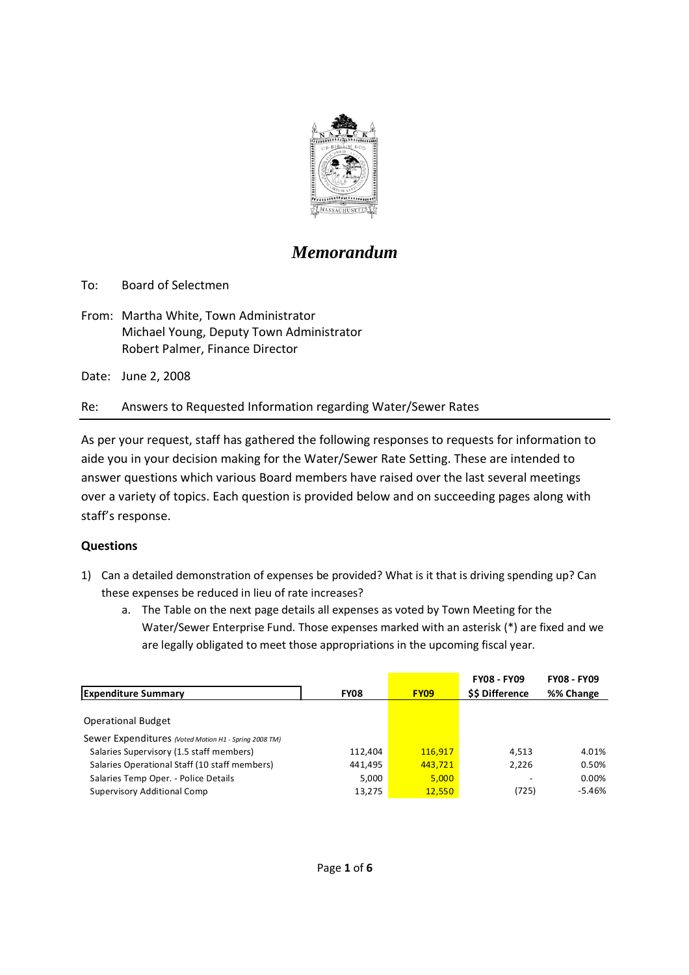

## *Memorandum*

To: Board of Selectmen

From: Martha White, Town Administrator Michael Young, Deputy Town Administrator Robert Palmer, Finance Director

Date: June 2, 2008

Re: Answers to Requested Information regarding Water/Sewer Rates

As per your request, staff has gathered the following responses to requests for information to aide you in your decision making for the Water/Sewer Rate Setting. These are intended to answer questions which various Board members have raised over the last several meetings over a variety of topics. Each question is provided below and on succeeding pages along with staff's response.

## **Questions**

- 1) Can a detailed demonstration of expenses be provided? What is it that is driving spending up? Can these expenses be reduced in lieu of rate increases?
	- a. The Table on the next page details all expenses as voted by Town Meeting for the Water/Sewer Enterprise Fund. Those expenses marked with an asterisk (\*) are fixed and we are legally obligated to meet those appropriations in the upcoming fiscal year.

|                                                       |             |             | <b>FY08 - FY09</b>   | <b>FY08 - FY09</b> |
|-------------------------------------------------------|-------------|-------------|----------------------|--------------------|
| <b>Expenditure Summary</b>                            | <b>FY08</b> | <b>FY09</b> | <b>SS Difference</b> | %% Change          |
|                                                       |             |             |                      |                    |
| <b>Operational Budget</b>                             |             |             |                      |                    |
| Sewer Expenditures (Voted Motion H1 - Spring 2008 TM) |             |             |                      |                    |
| Salaries Supervisory (1.5 staff members)              | 112,404     | 116,917     | 4.513                | 4.01%              |
| Salaries Operational Staff (10 staff members)         | 441,495     | 443,721     | 2,226                | 0.50%              |
| Salaries Temp Oper. - Police Details                  | 5,000       | 5,000       |                      | 0.00%              |
| <b>Supervisory Additional Comp</b>                    | 13,275      | 12,550      | (725)                | $-5.46%$           |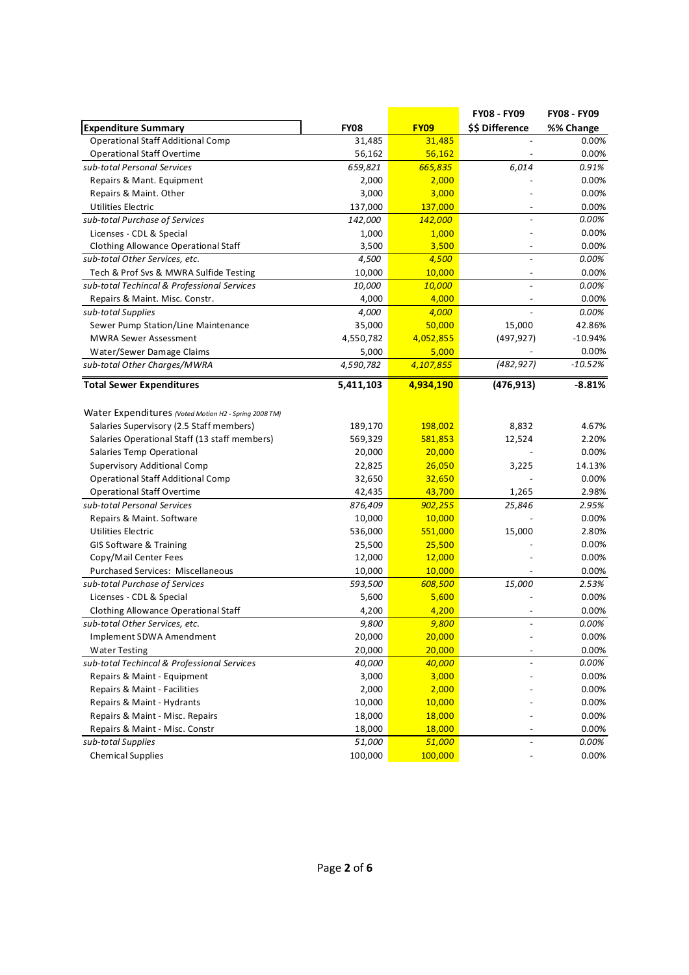| \$\$ Difference<br><b>Expenditure Summary</b><br><b>FY08</b><br><b>FY09</b><br>%% Change<br><b>Operational Staff Additional Comp</b><br>31,485<br>0.00%<br>31,485<br><b>Operational Staff Overtime</b><br>56,162<br>56,162<br>0.00%<br>sub-total Personal Services<br>659,821<br>665,835<br>6,014<br>0.91%<br>0.00%<br>Repairs & Mant. Equipment<br>2,000<br>2,000<br>Repairs & Maint. Other<br>3,000<br>3,000<br>0.00%<br>Utilities Electric<br>137,000<br>137,000<br>0.00%<br>sub-total Purchase of Services<br>0.00%<br>142,000<br>142,000<br>0.00%<br>Licenses - CDL & Special<br>1,000<br>1,000<br>0.00%<br>Clothing Allowance Operational Staff<br>3,500<br>3,500<br>4,500<br>0.00%<br>sub-total Other Services, etc.<br>4,500<br>Tech & Prof Svs & MWRA Sulfide Testing<br>10,000<br>10,000<br>0.00%<br>sub-total Techincal & Professional Services<br>10,000<br>10,000<br>0.00%<br>4,000<br>0.00%<br>Repairs & Maint. Misc. Constr.<br>4,000<br>4,000<br>0.00%<br>sub-total Supplies<br>4,000<br>Sewer Pump Station/Line Maintenance<br>35,000<br>50,000<br>15,000<br>42.86%<br><b>MWRA Sewer Assessment</b><br>4,550,782<br>4,052,855<br>(497, 927)<br>$-10.94%$<br>0.00%<br>5,000<br>Water/Sewer Damage Claims<br>5,000<br>(482, 927)<br>$-10.52%$<br>4,590,782<br>4,107,855<br>sub-total Other Charges/MWRA<br><b>Total Sewer Expenditures</b><br>5,411,103<br>(476, 913)<br>$-8.81%$<br>4,934,190<br>Water Expenditures (Voted Motion H2 - Spring 2008 TM)<br>Salaries Supervisory (2.5 Staff members)<br>189,170<br>198,002<br>8,832<br>4.67%<br>Salaries Operational Staff (13 staff members)<br>569,329<br>581,853<br>12,524<br>2.20%<br>Salaries Temp Operational<br>20,000<br>20,000<br>0.00%<br>Supervisory Additional Comp<br>22,825<br>26,050<br>14.13%<br>3,225<br><b>Operational Staff Additional Comp</b><br>0.00%<br>32,650<br>32,650<br>1,265<br>2.98%<br><b>Operational Staff Overtime</b><br>42,435<br>43,700<br>sub-total Personal Services<br>876,409<br>902,255<br>25,846<br>2.95%<br>Repairs & Maint. Software<br>10,000<br>10,000<br>0.00%<br>15,000<br>2.80%<br><b>Utilities Electric</b><br>536,000<br>551,000<br>0.00%<br><b>GIS Software &amp; Training</b><br>25,500<br>25,500<br>Copy/Mail Center Fees<br>0.00%<br>12,000<br>12,000<br>Purchased Services: Miscellaneous<br>10,000<br>10,000<br>0.00%<br>sub-total Purchase of Services<br>593,500<br>608,500<br>15,000<br>2.53%<br>Licenses - CDL & Special<br>5,600<br>0.00%<br>5,600<br>Clothing Allowance Operational Staff<br>0.00%<br>4,200<br>4,200<br>9,800<br>9,800<br>0.00%<br>sub-total Other Services, etc.<br>20,000<br>20,000<br>0.00%<br>Implement SDWA Amendment<br>20,000<br>20,000<br><b>Water Testing</b><br>0.00%<br>sub-total Techincal & Professional Services<br>40,000<br>40,000<br>0.00%<br>0.00%<br>3,000<br>3,000<br>Repairs & Maint - Equipment<br>2,000<br>0.00%<br>Repairs & Maint - Facilities<br>2,000<br>10,000<br>10,000<br>0.00%<br>Repairs & Maint - Hydrants<br>18,000<br>18,000<br>0.00%<br>Repairs & Maint - Misc. Repairs<br>0.00%<br>Repairs & Maint - Misc. Constr<br>18,000<br>18,000<br>51,000<br>sub-total Supplies<br>51,000<br>0.00%<br>$\overline{\phantom{a}}$<br><b>Chemical Supplies</b><br>100,000<br>100,000<br>0.00% |  | FY08 - FY09 | <b>FY08 - FY09</b> |
|------------------------------------------------------------------------------------------------------------------------------------------------------------------------------------------------------------------------------------------------------------------------------------------------------------------------------------------------------------------------------------------------------------------------------------------------------------------------------------------------------------------------------------------------------------------------------------------------------------------------------------------------------------------------------------------------------------------------------------------------------------------------------------------------------------------------------------------------------------------------------------------------------------------------------------------------------------------------------------------------------------------------------------------------------------------------------------------------------------------------------------------------------------------------------------------------------------------------------------------------------------------------------------------------------------------------------------------------------------------------------------------------------------------------------------------------------------------------------------------------------------------------------------------------------------------------------------------------------------------------------------------------------------------------------------------------------------------------------------------------------------------------------------------------------------------------------------------------------------------------------------------------------------------------------------------------------------------------------------------------------------------------------------------------------------------------------------------------------------------------------------------------------------------------------------------------------------------------------------------------------------------------------------------------------------------------------------------------------------------------------------------------------------------------------------------------------------------------------------------------------------------------------------------------------------------------------------------------------------------------------------------------------------------------------------------------------------------------------------------------------------------------------------------------------------------------------------------------------------------------------------------------------------------------------------------------------------------------------------------------------------------------------------------------------------------------------------------------------------------------------------------------------------------------------------------------------------------------------------------------------------------|--|-------------|--------------------|
|                                                                                                                                                                                                                                                                                                                                                                                                                                                                                                                                                                                                                                                                                                                                                                                                                                                                                                                                                                                                                                                                                                                                                                                                                                                                                                                                                                                                                                                                                                                                                                                                                                                                                                                                                                                                                                                                                                                                                                                                                                                                                                                                                                                                                                                                                                                                                                                                                                                                                                                                                                                                                                                                                                                                                                                                                                                                                                                                                                                                                                                                                                                                                                                                                                                                  |  |             |                    |
|                                                                                                                                                                                                                                                                                                                                                                                                                                                                                                                                                                                                                                                                                                                                                                                                                                                                                                                                                                                                                                                                                                                                                                                                                                                                                                                                                                                                                                                                                                                                                                                                                                                                                                                                                                                                                                                                                                                                                                                                                                                                                                                                                                                                                                                                                                                                                                                                                                                                                                                                                                                                                                                                                                                                                                                                                                                                                                                                                                                                                                                                                                                                                                                                                                                                  |  |             |                    |
|                                                                                                                                                                                                                                                                                                                                                                                                                                                                                                                                                                                                                                                                                                                                                                                                                                                                                                                                                                                                                                                                                                                                                                                                                                                                                                                                                                                                                                                                                                                                                                                                                                                                                                                                                                                                                                                                                                                                                                                                                                                                                                                                                                                                                                                                                                                                                                                                                                                                                                                                                                                                                                                                                                                                                                                                                                                                                                                                                                                                                                                                                                                                                                                                                                                                  |  |             |                    |
|                                                                                                                                                                                                                                                                                                                                                                                                                                                                                                                                                                                                                                                                                                                                                                                                                                                                                                                                                                                                                                                                                                                                                                                                                                                                                                                                                                                                                                                                                                                                                                                                                                                                                                                                                                                                                                                                                                                                                                                                                                                                                                                                                                                                                                                                                                                                                                                                                                                                                                                                                                                                                                                                                                                                                                                                                                                                                                                                                                                                                                                                                                                                                                                                                                                                  |  |             |                    |
|                                                                                                                                                                                                                                                                                                                                                                                                                                                                                                                                                                                                                                                                                                                                                                                                                                                                                                                                                                                                                                                                                                                                                                                                                                                                                                                                                                                                                                                                                                                                                                                                                                                                                                                                                                                                                                                                                                                                                                                                                                                                                                                                                                                                                                                                                                                                                                                                                                                                                                                                                                                                                                                                                                                                                                                                                                                                                                                                                                                                                                                                                                                                                                                                                                                                  |  |             |                    |
|                                                                                                                                                                                                                                                                                                                                                                                                                                                                                                                                                                                                                                                                                                                                                                                                                                                                                                                                                                                                                                                                                                                                                                                                                                                                                                                                                                                                                                                                                                                                                                                                                                                                                                                                                                                                                                                                                                                                                                                                                                                                                                                                                                                                                                                                                                                                                                                                                                                                                                                                                                                                                                                                                                                                                                                                                                                                                                                                                                                                                                                                                                                                                                                                                                                                  |  |             |                    |
|                                                                                                                                                                                                                                                                                                                                                                                                                                                                                                                                                                                                                                                                                                                                                                                                                                                                                                                                                                                                                                                                                                                                                                                                                                                                                                                                                                                                                                                                                                                                                                                                                                                                                                                                                                                                                                                                                                                                                                                                                                                                                                                                                                                                                                                                                                                                                                                                                                                                                                                                                                                                                                                                                                                                                                                                                                                                                                                                                                                                                                                                                                                                                                                                                                                                  |  |             |                    |
|                                                                                                                                                                                                                                                                                                                                                                                                                                                                                                                                                                                                                                                                                                                                                                                                                                                                                                                                                                                                                                                                                                                                                                                                                                                                                                                                                                                                                                                                                                                                                                                                                                                                                                                                                                                                                                                                                                                                                                                                                                                                                                                                                                                                                                                                                                                                                                                                                                                                                                                                                                                                                                                                                                                                                                                                                                                                                                                                                                                                                                                                                                                                                                                                                                                                  |  |             |                    |
|                                                                                                                                                                                                                                                                                                                                                                                                                                                                                                                                                                                                                                                                                                                                                                                                                                                                                                                                                                                                                                                                                                                                                                                                                                                                                                                                                                                                                                                                                                                                                                                                                                                                                                                                                                                                                                                                                                                                                                                                                                                                                                                                                                                                                                                                                                                                                                                                                                                                                                                                                                                                                                                                                                                                                                                                                                                                                                                                                                                                                                                                                                                                                                                                                                                                  |  |             |                    |
|                                                                                                                                                                                                                                                                                                                                                                                                                                                                                                                                                                                                                                                                                                                                                                                                                                                                                                                                                                                                                                                                                                                                                                                                                                                                                                                                                                                                                                                                                                                                                                                                                                                                                                                                                                                                                                                                                                                                                                                                                                                                                                                                                                                                                                                                                                                                                                                                                                                                                                                                                                                                                                                                                                                                                                                                                                                                                                                                                                                                                                                                                                                                                                                                                                                                  |  |             |                    |
|                                                                                                                                                                                                                                                                                                                                                                                                                                                                                                                                                                                                                                                                                                                                                                                                                                                                                                                                                                                                                                                                                                                                                                                                                                                                                                                                                                                                                                                                                                                                                                                                                                                                                                                                                                                                                                                                                                                                                                                                                                                                                                                                                                                                                                                                                                                                                                                                                                                                                                                                                                                                                                                                                                                                                                                                                                                                                                                                                                                                                                                                                                                                                                                                                                                                  |  |             |                    |
|                                                                                                                                                                                                                                                                                                                                                                                                                                                                                                                                                                                                                                                                                                                                                                                                                                                                                                                                                                                                                                                                                                                                                                                                                                                                                                                                                                                                                                                                                                                                                                                                                                                                                                                                                                                                                                                                                                                                                                                                                                                                                                                                                                                                                                                                                                                                                                                                                                                                                                                                                                                                                                                                                                                                                                                                                                                                                                                                                                                                                                                                                                                                                                                                                                                                  |  |             |                    |
|                                                                                                                                                                                                                                                                                                                                                                                                                                                                                                                                                                                                                                                                                                                                                                                                                                                                                                                                                                                                                                                                                                                                                                                                                                                                                                                                                                                                                                                                                                                                                                                                                                                                                                                                                                                                                                                                                                                                                                                                                                                                                                                                                                                                                                                                                                                                                                                                                                                                                                                                                                                                                                                                                                                                                                                                                                                                                                                                                                                                                                                                                                                                                                                                                                                                  |  |             |                    |
|                                                                                                                                                                                                                                                                                                                                                                                                                                                                                                                                                                                                                                                                                                                                                                                                                                                                                                                                                                                                                                                                                                                                                                                                                                                                                                                                                                                                                                                                                                                                                                                                                                                                                                                                                                                                                                                                                                                                                                                                                                                                                                                                                                                                                                                                                                                                                                                                                                                                                                                                                                                                                                                                                                                                                                                                                                                                                                                                                                                                                                                                                                                                                                                                                                                                  |  |             |                    |
|                                                                                                                                                                                                                                                                                                                                                                                                                                                                                                                                                                                                                                                                                                                                                                                                                                                                                                                                                                                                                                                                                                                                                                                                                                                                                                                                                                                                                                                                                                                                                                                                                                                                                                                                                                                                                                                                                                                                                                                                                                                                                                                                                                                                                                                                                                                                                                                                                                                                                                                                                                                                                                                                                                                                                                                                                                                                                                                                                                                                                                                                                                                                                                                                                                                                  |  |             |                    |
|                                                                                                                                                                                                                                                                                                                                                                                                                                                                                                                                                                                                                                                                                                                                                                                                                                                                                                                                                                                                                                                                                                                                                                                                                                                                                                                                                                                                                                                                                                                                                                                                                                                                                                                                                                                                                                                                                                                                                                                                                                                                                                                                                                                                                                                                                                                                                                                                                                                                                                                                                                                                                                                                                                                                                                                                                                                                                                                                                                                                                                                                                                                                                                                                                                                                  |  |             |                    |
|                                                                                                                                                                                                                                                                                                                                                                                                                                                                                                                                                                                                                                                                                                                                                                                                                                                                                                                                                                                                                                                                                                                                                                                                                                                                                                                                                                                                                                                                                                                                                                                                                                                                                                                                                                                                                                                                                                                                                                                                                                                                                                                                                                                                                                                                                                                                                                                                                                                                                                                                                                                                                                                                                                                                                                                                                                                                                                                                                                                                                                                                                                                                                                                                                                                                  |  |             |                    |
|                                                                                                                                                                                                                                                                                                                                                                                                                                                                                                                                                                                                                                                                                                                                                                                                                                                                                                                                                                                                                                                                                                                                                                                                                                                                                                                                                                                                                                                                                                                                                                                                                                                                                                                                                                                                                                                                                                                                                                                                                                                                                                                                                                                                                                                                                                                                                                                                                                                                                                                                                                                                                                                                                                                                                                                                                                                                                                                                                                                                                                                                                                                                                                                                                                                                  |  |             |                    |
|                                                                                                                                                                                                                                                                                                                                                                                                                                                                                                                                                                                                                                                                                                                                                                                                                                                                                                                                                                                                                                                                                                                                                                                                                                                                                                                                                                                                                                                                                                                                                                                                                                                                                                                                                                                                                                                                                                                                                                                                                                                                                                                                                                                                                                                                                                                                                                                                                                                                                                                                                                                                                                                                                                                                                                                                                                                                                                                                                                                                                                                                                                                                                                                                                                                                  |  |             |                    |
|                                                                                                                                                                                                                                                                                                                                                                                                                                                                                                                                                                                                                                                                                                                                                                                                                                                                                                                                                                                                                                                                                                                                                                                                                                                                                                                                                                                                                                                                                                                                                                                                                                                                                                                                                                                                                                                                                                                                                                                                                                                                                                                                                                                                                                                                                                                                                                                                                                                                                                                                                                                                                                                                                                                                                                                                                                                                                                                                                                                                                                                                                                                                                                                                                                                                  |  |             |                    |
|                                                                                                                                                                                                                                                                                                                                                                                                                                                                                                                                                                                                                                                                                                                                                                                                                                                                                                                                                                                                                                                                                                                                                                                                                                                                                                                                                                                                                                                                                                                                                                                                                                                                                                                                                                                                                                                                                                                                                                                                                                                                                                                                                                                                                                                                                                                                                                                                                                                                                                                                                                                                                                                                                                                                                                                                                                                                                                                                                                                                                                                                                                                                                                                                                                                                  |  |             |                    |
|                                                                                                                                                                                                                                                                                                                                                                                                                                                                                                                                                                                                                                                                                                                                                                                                                                                                                                                                                                                                                                                                                                                                                                                                                                                                                                                                                                                                                                                                                                                                                                                                                                                                                                                                                                                                                                                                                                                                                                                                                                                                                                                                                                                                                                                                                                                                                                                                                                                                                                                                                                                                                                                                                                                                                                                                                                                                                                                                                                                                                                                                                                                                                                                                                                                                  |  |             |                    |
|                                                                                                                                                                                                                                                                                                                                                                                                                                                                                                                                                                                                                                                                                                                                                                                                                                                                                                                                                                                                                                                                                                                                                                                                                                                                                                                                                                                                                                                                                                                                                                                                                                                                                                                                                                                                                                                                                                                                                                                                                                                                                                                                                                                                                                                                                                                                                                                                                                                                                                                                                                                                                                                                                                                                                                                                                                                                                                                                                                                                                                                                                                                                                                                                                                                                  |  |             |                    |
|                                                                                                                                                                                                                                                                                                                                                                                                                                                                                                                                                                                                                                                                                                                                                                                                                                                                                                                                                                                                                                                                                                                                                                                                                                                                                                                                                                                                                                                                                                                                                                                                                                                                                                                                                                                                                                                                                                                                                                                                                                                                                                                                                                                                                                                                                                                                                                                                                                                                                                                                                                                                                                                                                                                                                                                                                                                                                                                                                                                                                                                                                                                                                                                                                                                                  |  |             |                    |
|                                                                                                                                                                                                                                                                                                                                                                                                                                                                                                                                                                                                                                                                                                                                                                                                                                                                                                                                                                                                                                                                                                                                                                                                                                                                                                                                                                                                                                                                                                                                                                                                                                                                                                                                                                                                                                                                                                                                                                                                                                                                                                                                                                                                                                                                                                                                                                                                                                                                                                                                                                                                                                                                                                                                                                                                                                                                                                                                                                                                                                                                                                                                                                                                                                                                  |  |             |                    |
|                                                                                                                                                                                                                                                                                                                                                                                                                                                                                                                                                                                                                                                                                                                                                                                                                                                                                                                                                                                                                                                                                                                                                                                                                                                                                                                                                                                                                                                                                                                                                                                                                                                                                                                                                                                                                                                                                                                                                                                                                                                                                                                                                                                                                                                                                                                                                                                                                                                                                                                                                                                                                                                                                                                                                                                                                                                                                                                                                                                                                                                                                                                                                                                                                                                                  |  |             |                    |
|                                                                                                                                                                                                                                                                                                                                                                                                                                                                                                                                                                                                                                                                                                                                                                                                                                                                                                                                                                                                                                                                                                                                                                                                                                                                                                                                                                                                                                                                                                                                                                                                                                                                                                                                                                                                                                                                                                                                                                                                                                                                                                                                                                                                                                                                                                                                                                                                                                                                                                                                                                                                                                                                                                                                                                                                                                                                                                                                                                                                                                                                                                                                                                                                                                                                  |  |             |                    |
|                                                                                                                                                                                                                                                                                                                                                                                                                                                                                                                                                                                                                                                                                                                                                                                                                                                                                                                                                                                                                                                                                                                                                                                                                                                                                                                                                                                                                                                                                                                                                                                                                                                                                                                                                                                                                                                                                                                                                                                                                                                                                                                                                                                                                                                                                                                                                                                                                                                                                                                                                                                                                                                                                                                                                                                                                                                                                                                                                                                                                                                                                                                                                                                                                                                                  |  |             |                    |
|                                                                                                                                                                                                                                                                                                                                                                                                                                                                                                                                                                                                                                                                                                                                                                                                                                                                                                                                                                                                                                                                                                                                                                                                                                                                                                                                                                                                                                                                                                                                                                                                                                                                                                                                                                                                                                                                                                                                                                                                                                                                                                                                                                                                                                                                                                                                                                                                                                                                                                                                                                                                                                                                                                                                                                                                                                                                                                                                                                                                                                                                                                                                                                                                                                                                  |  |             |                    |
|                                                                                                                                                                                                                                                                                                                                                                                                                                                                                                                                                                                                                                                                                                                                                                                                                                                                                                                                                                                                                                                                                                                                                                                                                                                                                                                                                                                                                                                                                                                                                                                                                                                                                                                                                                                                                                                                                                                                                                                                                                                                                                                                                                                                                                                                                                                                                                                                                                                                                                                                                                                                                                                                                                                                                                                                                                                                                                                                                                                                                                                                                                                                                                                                                                                                  |  |             |                    |
|                                                                                                                                                                                                                                                                                                                                                                                                                                                                                                                                                                                                                                                                                                                                                                                                                                                                                                                                                                                                                                                                                                                                                                                                                                                                                                                                                                                                                                                                                                                                                                                                                                                                                                                                                                                                                                                                                                                                                                                                                                                                                                                                                                                                                                                                                                                                                                                                                                                                                                                                                                                                                                                                                                                                                                                                                                                                                                                                                                                                                                                                                                                                                                                                                                                                  |  |             |                    |
|                                                                                                                                                                                                                                                                                                                                                                                                                                                                                                                                                                                                                                                                                                                                                                                                                                                                                                                                                                                                                                                                                                                                                                                                                                                                                                                                                                                                                                                                                                                                                                                                                                                                                                                                                                                                                                                                                                                                                                                                                                                                                                                                                                                                                                                                                                                                                                                                                                                                                                                                                                                                                                                                                                                                                                                                                                                                                                                                                                                                                                                                                                                                                                                                                                                                  |  |             |                    |
|                                                                                                                                                                                                                                                                                                                                                                                                                                                                                                                                                                                                                                                                                                                                                                                                                                                                                                                                                                                                                                                                                                                                                                                                                                                                                                                                                                                                                                                                                                                                                                                                                                                                                                                                                                                                                                                                                                                                                                                                                                                                                                                                                                                                                                                                                                                                                                                                                                                                                                                                                                                                                                                                                                                                                                                                                                                                                                                                                                                                                                                                                                                                                                                                                                                                  |  |             |                    |
|                                                                                                                                                                                                                                                                                                                                                                                                                                                                                                                                                                                                                                                                                                                                                                                                                                                                                                                                                                                                                                                                                                                                                                                                                                                                                                                                                                                                                                                                                                                                                                                                                                                                                                                                                                                                                                                                                                                                                                                                                                                                                                                                                                                                                                                                                                                                                                                                                                                                                                                                                                                                                                                                                                                                                                                                                                                                                                                                                                                                                                                                                                                                                                                                                                                                  |  |             |                    |
|                                                                                                                                                                                                                                                                                                                                                                                                                                                                                                                                                                                                                                                                                                                                                                                                                                                                                                                                                                                                                                                                                                                                                                                                                                                                                                                                                                                                                                                                                                                                                                                                                                                                                                                                                                                                                                                                                                                                                                                                                                                                                                                                                                                                                                                                                                                                                                                                                                                                                                                                                                                                                                                                                                                                                                                                                                                                                                                                                                                                                                                                                                                                                                                                                                                                  |  |             |                    |
|                                                                                                                                                                                                                                                                                                                                                                                                                                                                                                                                                                                                                                                                                                                                                                                                                                                                                                                                                                                                                                                                                                                                                                                                                                                                                                                                                                                                                                                                                                                                                                                                                                                                                                                                                                                                                                                                                                                                                                                                                                                                                                                                                                                                                                                                                                                                                                                                                                                                                                                                                                                                                                                                                                                                                                                                                                                                                                                                                                                                                                                                                                                                                                                                                                                                  |  |             |                    |
|                                                                                                                                                                                                                                                                                                                                                                                                                                                                                                                                                                                                                                                                                                                                                                                                                                                                                                                                                                                                                                                                                                                                                                                                                                                                                                                                                                                                                                                                                                                                                                                                                                                                                                                                                                                                                                                                                                                                                                                                                                                                                                                                                                                                                                                                                                                                                                                                                                                                                                                                                                                                                                                                                                                                                                                                                                                                                                                                                                                                                                                                                                                                                                                                                                                                  |  |             |                    |
|                                                                                                                                                                                                                                                                                                                                                                                                                                                                                                                                                                                                                                                                                                                                                                                                                                                                                                                                                                                                                                                                                                                                                                                                                                                                                                                                                                                                                                                                                                                                                                                                                                                                                                                                                                                                                                                                                                                                                                                                                                                                                                                                                                                                                                                                                                                                                                                                                                                                                                                                                                                                                                                                                                                                                                                                                                                                                                                                                                                                                                                                                                                                                                                                                                                                  |  |             |                    |
|                                                                                                                                                                                                                                                                                                                                                                                                                                                                                                                                                                                                                                                                                                                                                                                                                                                                                                                                                                                                                                                                                                                                                                                                                                                                                                                                                                                                                                                                                                                                                                                                                                                                                                                                                                                                                                                                                                                                                                                                                                                                                                                                                                                                                                                                                                                                                                                                                                                                                                                                                                                                                                                                                                                                                                                                                                                                                                                                                                                                                                                                                                                                                                                                                                                                  |  |             |                    |
|                                                                                                                                                                                                                                                                                                                                                                                                                                                                                                                                                                                                                                                                                                                                                                                                                                                                                                                                                                                                                                                                                                                                                                                                                                                                                                                                                                                                                                                                                                                                                                                                                                                                                                                                                                                                                                                                                                                                                                                                                                                                                                                                                                                                                                                                                                                                                                                                                                                                                                                                                                                                                                                                                                                                                                                                                                                                                                                                                                                                                                                                                                                                                                                                                                                                  |  |             |                    |
|                                                                                                                                                                                                                                                                                                                                                                                                                                                                                                                                                                                                                                                                                                                                                                                                                                                                                                                                                                                                                                                                                                                                                                                                                                                                                                                                                                                                                                                                                                                                                                                                                                                                                                                                                                                                                                                                                                                                                                                                                                                                                                                                                                                                                                                                                                                                                                                                                                                                                                                                                                                                                                                                                                                                                                                                                                                                                                                                                                                                                                                                                                                                                                                                                                                                  |  |             |                    |
|                                                                                                                                                                                                                                                                                                                                                                                                                                                                                                                                                                                                                                                                                                                                                                                                                                                                                                                                                                                                                                                                                                                                                                                                                                                                                                                                                                                                                                                                                                                                                                                                                                                                                                                                                                                                                                                                                                                                                                                                                                                                                                                                                                                                                                                                                                                                                                                                                                                                                                                                                                                                                                                                                                                                                                                                                                                                                                                                                                                                                                                                                                                                                                                                                                                                  |  |             |                    |
|                                                                                                                                                                                                                                                                                                                                                                                                                                                                                                                                                                                                                                                                                                                                                                                                                                                                                                                                                                                                                                                                                                                                                                                                                                                                                                                                                                                                                                                                                                                                                                                                                                                                                                                                                                                                                                                                                                                                                                                                                                                                                                                                                                                                                                                                                                                                                                                                                                                                                                                                                                                                                                                                                                                                                                                                                                                                                                                                                                                                                                                                                                                                                                                                                                                                  |  |             |                    |
|                                                                                                                                                                                                                                                                                                                                                                                                                                                                                                                                                                                                                                                                                                                                                                                                                                                                                                                                                                                                                                                                                                                                                                                                                                                                                                                                                                                                                                                                                                                                                                                                                                                                                                                                                                                                                                                                                                                                                                                                                                                                                                                                                                                                                                                                                                                                                                                                                                                                                                                                                                                                                                                                                                                                                                                                                                                                                                                                                                                                                                                                                                                                                                                                                                                                  |  |             |                    |
|                                                                                                                                                                                                                                                                                                                                                                                                                                                                                                                                                                                                                                                                                                                                                                                                                                                                                                                                                                                                                                                                                                                                                                                                                                                                                                                                                                                                                                                                                                                                                                                                                                                                                                                                                                                                                                                                                                                                                                                                                                                                                                                                                                                                                                                                                                                                                                                                                                                                                                                                                                                                                                                                                                                                                                                                                                                                                                                                                                                                                                                                                                                                                                                                                                                                  |  |             |                    |
|                                                                                                                                                                                                                                                                                                                                                                                                                                                                                                                                                                                                                                                                                                                                                                                                                                                                                                                                                                                                                                                                                                                                                                                                                                                                                                                                                                                                                                                                                                                                                                                                                                                                                                                                                                                                                                                                                                                                                                                                                                                                                                                                                                                                                                                                                                                                                                                                                                                                                                                                                                                                                                                                                                                                                                                                                                                                                                                                                                                                                                                                                                                                                                                                                                                                  |  |             |                    |
|                                                                                                                                                                                                                                                                                                                                                                                                                                                                                                                                                                                                                                                                                                                                                                                                                                                                                                                                                                                                                                                                                                                                                                                                                                                                                                                                                                                                                                                                                                                                                                                                                                                                                                                                                                                                                                                                                                                                                                                                                                                                                                                                                                                                                                                                                                                                                                                                                                                                                                                                                                                                                                                                                                                                                                                                                                                                                                                                                                                                                                                                                                                                                                                                                                                                  |  |             |                    |
|                                                                                                                                                                                                                                                                                                                                                                                                                                                                                                                                                                                                                                                                                                                                                                                                                                                                                                                                                                                                                                                                                                                                                                                                                                                                                                                                                                                                                                                                                                                                                                                                                                                                                                                                                                                                                                                                                                                                                                                                                                                                                                                                                                                                                                                                                                                                                                                                                                                                                                                                                                                                                                                                                                                                                                                                                                                                                                                                                                                                                                                                                                                                                                                                                                                                  |  |             |                    |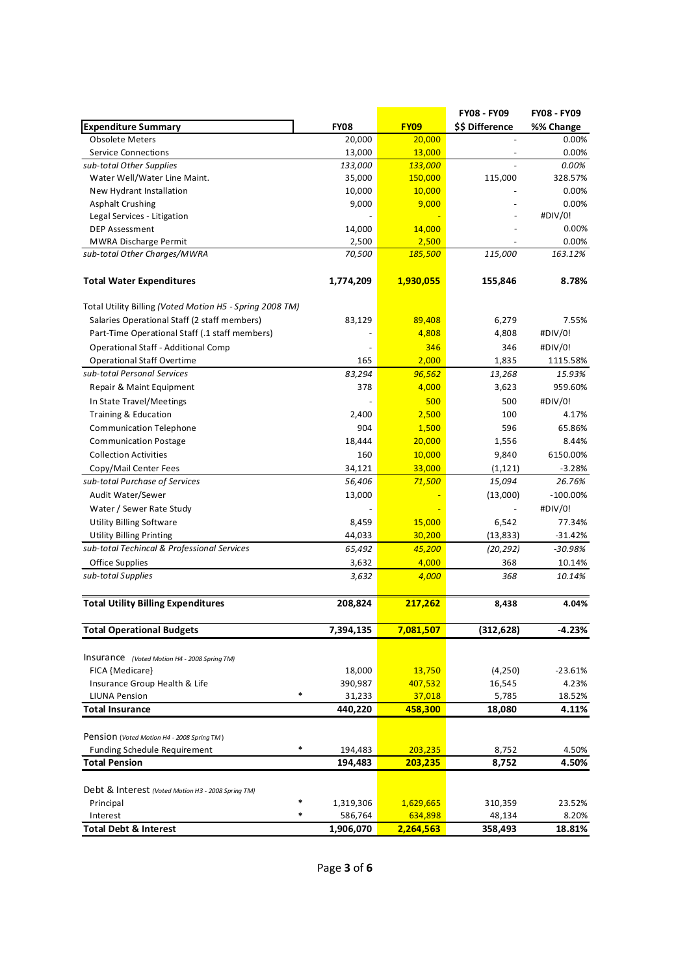|                                                          |             |             | FY08 - FY09     | <b>FY08 - FY09</b> |
|----------------------------------------------------------|-------------|-------------|-----------------|--------------------|
| <b>Expenditure Summary</b>                               | <b>FY08</b> | <b>FY09</b> | \$\$ Difference | %% Change          |
| <b>Obsolete Meters</b>                                   | 20,000      | 20,000      |                 | 0.00%              |
| <b>Service Connections</b>                               | 13,000      | 13,000      |                 | 0.00%              |
| sub-total Other Supplies                                 | 133,000     | 133,000     |                 | 0.00%              |
| Water Well/Water Line Maint.                             | 35,000      | 150,000     | 115,000         | 328.57%            |
| New Hydrant Installation                                 | 10,000      | 10,000      |                 | 0.00%              |
| <b>Asphalt Crushing</b>                                  | 9,000       | 9,000       |                 | 0.00%              |
| Legal Services - Litigation                              |             |             |                 | #DIV/0!            |
| <b>DEP Assessment</b>                                    | 14,000      | 14,000      |                 | 0.00%              |
| <b>MWRA Discharge Permit</b>                             | 2,500       | 2,500       |                 | 0.00%              |
| sub-total Other Charges/MWRA                             | 70,500      | 185,500     | 115,000         | 163.12%            |
| <b>Total Water Expenditures</b>                          | 1,774,209   | 1,930,055   | 155,846         | 8.78%              |
| Total Utility Billing (Voted Motion H5 - Spring 2008 TM) |             |             |                 |                    |
| Salaries Operational Staff (2 staff members)             | 83,129      | 89,408      | 6,279           | 7.55%              |
| Part-Time Operational Staff (.1 staff members)           |             | 4,808       | 4,808           | #DIV/0!            |
| Operational Staff - Additional Comp                      |             | 346         | 346             | #DIV/0!            |
| <b>Operational Staff Overtime</b>                        | 165         | 2,000       | 1,835           | 1115.58%           |
| sub-total Personal Services                              | 83,294      | 96,562      | 13,268          | 15.93%             |
| Repair & Maint Equipment                                 | 378         | 4,000       | 3,623           | 959.60%            |
| In State Travel/Meetings                                 |             | 500         | 500             | #DIV/0!            |
| Training & Education                                     | 2,400       | 2,500       | 100             | 4.17%              |
| <b>Communication Telephone</b>                           | 904         | 1,500       | 596             | 65.86%             |
| <b>Communication Postage</b>                             | 18,444      | 20,000      | 1,556           | 8.44%              |
| <b>Collection Activities</b>                             | 160         | 10,000      | 9,840           | 6150.00%           |
| Copy/Mail Center Fees                                    | 34,121      | 33,000      | (1, 121)        | $-3.28%$           |
| sub-total Purchase of Services                           | 56,406      | 71,500      | 15,094          | 26.76%             |
| Audit Water/Sewer                                        | 13,000      |             | (13,000)        | $-100.00\%$        |
| Water / Sewer Rate Study                                 |             |             |                 | #DIV/0!            |
| <b>Utility Billing Software</b>                          | 8,459       | 15,000      | 6,542           | 77.34%             |
| <b>Utility Billing Printing</b>                          | 44,033      | 30,200      | (13, 833)       | -31.42%            |
| sub-total Techincal & Professional Services              | 65,492      | 45,200      | (20, 292)       | -30.98%            |
| Office Supplies                                          | 3,632       | 4,000       | 368             | 10.14%             |
| sub-total Supplies                                       | 3,632       | 4,000       | 368             | 10.14%             |
| <b>Total Utility Billing Expenditures</b>                | 208,824     | 217,262     | 8,438           | 4.04%              |
|                                                          |             |             |                 |                    |
| <b>Total Operational Budgets</b>                         | 7,394,135   | 7,081,507   | (312,628)       | -4.23%             |
| Insurance (Voted Motion H4 - 2008 Spring TM)             |             |             |                 |                    |
| FICA {Medicare}                                          | 18,000      | 13,750      | (4,250)         | -23.61%            |
| Insurance Group Health & Life                            | 390,987     | 407,532     | 16,545          | 4.23%              |
| *<br><b>LIUNA Pension</b>                                | 31,233      | 37,018      | 5,785           | 18.52%             |
| <b>Total Insurance</b>                                   | 440,220     | 458,300     | 18,080          | 4.11%              |
| Pension (Voted Motion H4 - 2008 Spring TM)               |             |             |                 |                    |
| *<br>Funding Schedule Requirement                        | 194,483     | 203,235     | 8,752           | 4.50%              |
| <b>Total Pension</b>                                     | 194,483     | 203,235     | 8,752           | 4.50%              |
| Debt & Interest (Voted Motion H3 - 2008 Spring TM)       |             |             |                 |                    |
| *<br>Principal                                           | 1,319,306   | 1,629,665   | 310,359         | 23.52%             |
| *<br>Interest                                            | 586,764     | 634,898     | 48,134          | 8.20%              |
| <b>Total Debt &amp; Interest</b>                         | 1,906,070   | 2,264,563   | 358,493         | 18.81%             |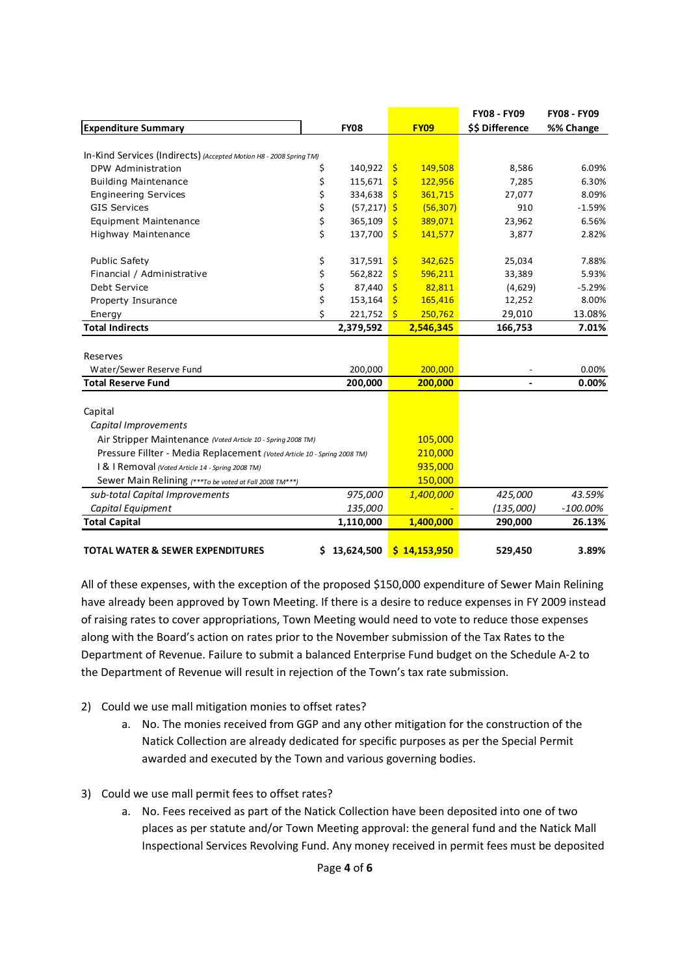|                                                                          |    |                |              |              | <b>FY08 - FY09</b> | <b>FY08 - FY09</b> |
|--------------------------------------------------------------------------|----|----------------|--------------|--------------|--------------------|--------------------|
| <b>Expenditure Summary</b>                                               |    | <b>FY08</b>    |              | <b>FY09</b>  | \$\$ Difference    | %% Change          |
|                                                                          |    |                |              |              |                    |                    |
| In-Kind Services (Indirects) (Accepted Motion H8 - 2008 Spring TM)       |    |                |              |              |                    |                    |
| DPW Administration                                                       | \$ | 140,922        | $\mathsf{S}$ | 149,508      | 8,586              | 6.09%              |
| <b>Building Maintenance</b>                                              | \$ | 115,671        | $\mathsf{S}$ | 122,956      | 7,285              | 6.30%              |
| <b>Engineering Services</b>                                              | \$ | 334,638        | Ŝ            | 361,715      | 27,077             | 8.09%              |
| <b>GIS Services</b>                                                      | \$ | $(57, 217)$ \$ |              | (56, 307)    | 910                | $-1.59%$           |
| <b>Equipment Maintenance</b>                                             | \$ | 365,109        | \$           | 389,071      | 23,962             | 6.56%              |
| Highway Maintenance                                                      | \$ | 137,700        | $\mathsf{S}$ | 141,577      | 3,877              | 2.82%              |
| <b>Public Safety</b>                                                     | \$ | 317,591        | \$           | 342,625      | 25,034             | 7.88%              |
| Financial / Administrative                                               | \$ | 562,822        | \$           | 596,211      | 33,389             | 5.93%              |
| Debt Service                                                             | \$ | 87,440         | \$           | 82,811       | (4,629)            | $-5.29%$           |
| Property Insurance                                                       | \$ | 153,164        | S.           | 165,416      | 12,252             | 8.00%              |
| Energy                                                                   | \$ | 221,752        | -Ś           | 250,762      | 29,010             | 13.08%             |
| <b>Total Indirects</b>                                                   |    | 2,379,592      |              | 2,546,345    | 166,753            | 7.01%              |
|                                                                          |    |                |              |              |                    |                    |
| Reserves                                                                 |    |                |              |              |                    |                    |
| Water/Sewer Reserve Fund                                                 |    | 200,000        |              | 200,000      |                    | 0.00%              |
| <b>Total Reserve Fund</b>                                                |    | 200,000        |              | 200,000      |                    | 0.00%              |
|                                                                          |    |                |              |              |                    |                    |
| Capital                                                                  |    |                |              |              |                    |                    |
| Capital Improvements                                                     |    |                |              |              |                    |                    |
| Air Stripper Maintenance (Voted Article 10 - Spring 2008 TM)             |    |                | 105,000      |              |                    |                    |
| Pressure Fillter - Media Replacement (Voted Article 10 - Spring 2008 TM) |    | 210,000        |              |              |                    |                    |
| I & I Removal (Voted Article 14 - Spring 2008 TM)                        |    | 935,000        |              |              |                    |                    |
| Sewer Main Relining (***To be voted at Fall 2008 TM***)                  |    |                |              | 150,000      |                    |                    |
| sub-total Capital Improvements                                           |    | 975,000        |              | 1,400,000    | 425,000            | 43.59%             |
| Capital Equipment                                                        |    | 135,000        |              |              | (135,000)          | $-100.00\%$        |
| <b>Total Capital</b>                                                     |    | 1,110,000      |              | 1,400,000    | 290,000            | 26.13%             |
|                                                                          |    |                |              |              |                    |                    |
| <b>TOTAL WATER &amp; SEWER EXPENDITURES</b>                              | \$ | 13,624,500     |              | \$14,153,950 | 529,450            | 3.89%              |

All of these expenses, with the exception of the proposed \$150,000 expenditure of Sewer Main Relining have already been approved by Town Meeting. If there is a desire to reduce expenses in FY 2009 instead of raising rates to cover appropriations, Town Meeting would need to vote to reduce those expenses along with the Board's action on rates prior to the November submission of the Tax Rates to the Department of Revenue. Failure to submit a balanced Enterprise Fund budget on the Schedule A-2 to the Department of Revenue will result in rejection of the Town's tax rate submission.

- 2) Could we use mall mitigation monies to offset rates?
	- a. No. The monies received from GGP and any other mitigation for the construction of the Natick Collection are already dedicated for specific purposes as per the Special Permit awarded and executed by the Town and various governing bodies.
- 3) Could we use mall permit fees to offset rates?
	- a. No. Fees received as part of the Natick Collection have been deposited into one of two places as per statute and/or Town Meeting approval: the general fund and the Natick Mall Inspectional Services Revolving Fund. Any money received in permit fees must be deposited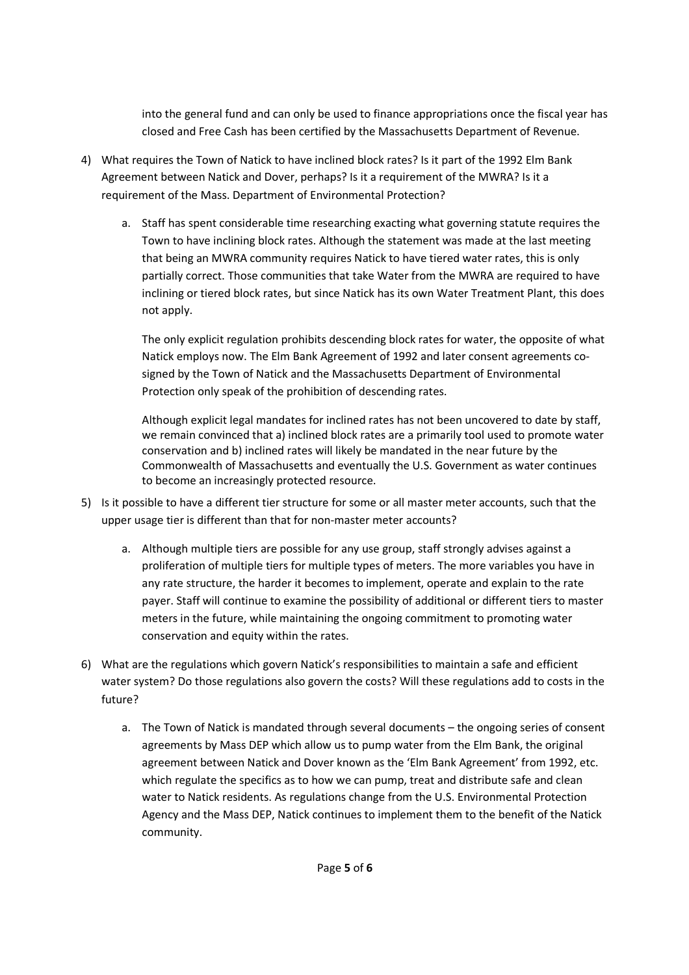into the general fund and can only be used to finance appropriations once the fiscal year has closed and Free Cash has been certified by the Massachusetts Department of Revenue.

- 4) What requires the Town of Natick to have inclined block rates? Is it part of the 1992 Elm Bank Agreement between Natick and Dover, perhaps? Is it a requirement of the MWRA? Is it a requirement of the Mass. Department of Environmental Protection?
	- a. Staff has spent considerable time researching exacting what governing statute requires the Town to have inclining block rates. Although the statement was made at the last meeting that being an MWRA community requires Natick to have tiered water rates, this is only partially correct. Those communities that take Water from the MWRA are required to have inclining or tiered block rates, but since Natick has its own Water Treatment Plant, this does not apply.

The only explicit regulation prohibits descending block rates for water, the opposite of what Natick employs now. The Elm Bank Agreement of 1992 and later consent agreements cosigned by the Town of Natick and the Massachusetts Department of Environmental Protection only speak of the prohibition of descending rates.

Although explicit legal mandates for inclined rates has not been uncovered to date by staff, we remain convinced that a) inclined block rates are a primarily tool used to promote water conservation and b) inclined rates will likely be mandated in the near future by the Commonwealth of Massachusetts and eventually the U.S. Government as water continues to become an increasingly protected resource.

- 5) Is it possible to have a different tier structure for some or all master meter accounts, such that the upper usage tier is different than that for non-master meter accounts?
	- a. Although multiple tiers are possible for any use group, staff strongly advises against a proliferation of multiple tiers for multiple types of meters. The more variables you have in any rate structure, the harder it becomes to implement, operate and explain to the rate payer. Staff will continue to examine the possibility of additional or different tiers to master meters in the future, while maintaining the ongoing commitment to promoting water conservation and equity within the rates.
- 6) What are the regulations which govern Natick's responsibilities to maintain a safe and efficient water system? Do those regulations also govern the costs? Will these regulations add to costs in the future?
	- a. The Town of Natick is mandated through several documents the ongoing series of consent agreements by Mass DEP which allow us to pump water from the Elm Bank, the original agreement between Natick and Dover known as the 'Elm Bank Agreement' from 1992, etc. which regulate the specifics as to how we can pump, treat and distribute safe and clean water to Natick residents. As regulations change from the U.S. Environmental Protection Agency and the Mass DEP, Natick continues to implement them to the benefit of the Natick community.